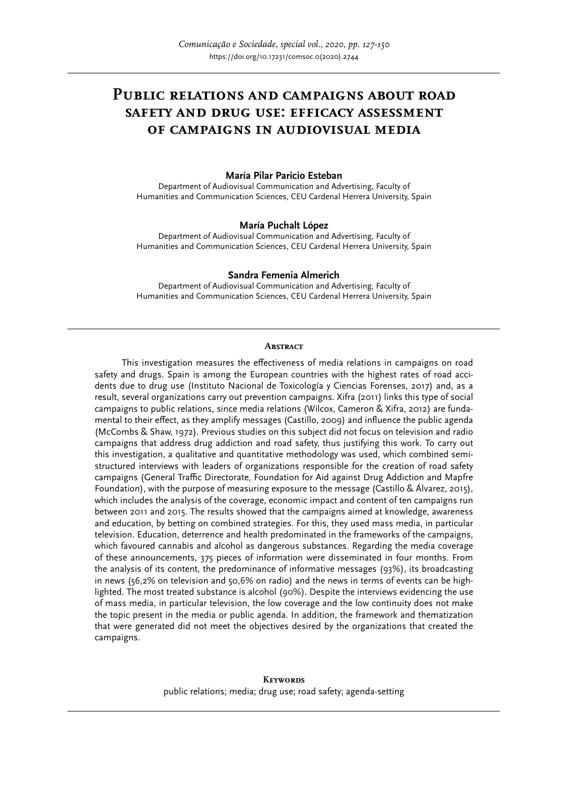# **Public relations and campaigns about road safety and drug use: efficacy assessment of campaigns in audiovisual media**

#### **María Pilar Paricio Esteban**

Department of Audiovisual Communication and Advertising, Faculty of Humanities and Communication Sciences, CEU Cardenal Herrera University, Spain

#### **María Puchalt López**

Department of Audiovisual Communication and Advertising, Faculty of Humanities and Communication Sciences, CEU Cardenal Herrera University, Spain

#### **Sandra Femenia Almerich**

Department of Audiovisual Communication and Advertising, Faculty of Humanities and Communication Sciences, CEU Cardenal Herrera University, Spain

#### **Abstract**

This investigation measures the effectiveness of media relations in campaigns on road safety and drugs. Spain is among the European countries with the highest rates of road accidents due to drug use (Instituto Nacional de Toxicología y Ciencias Forenses, 2017) and, as a result, several organizations carry out prevention campaigns. Xifra (2011) links this type of social campaigns to public relations, since media relations (Wilcox, Cameron & Xifra, 2012) are fundamental to their effect, as they amplify messages (Castillo, 2009) and influence the public agenda (McCombs & Shaw, 1972). Previous studies on this subject did not focus on television and radio campaigns that address drug addiction and road safety, thus justifying this work. To carry out this investigation, a qualitative and quantitative methodology was used, which combined semistructured interviews with leaders of organizations responsible for the creation of road safety campaigns (General Traffic Directorate, Foundation for Aid against Drug Addiction and Mapfre Foundation), with the purpose of measuring exposure to the message (Castillo & Álvarez, 2015), which includes the analysis of the coverage, economic impact and content of ten campaigns run between 2011 and 2015. The results showed that the campaigns aimed at knowledge, awareness and education, by betting on combined strategies. For this, they used mass media, in particular television. Education, deterrence and health predominated in the frameworks of the campaigns, which favoured cannabis and alcohol as dangerous substances. Regarding the media coverage of these announcements, 375 pieces of information were disseminated in four months. From the analysis of its content, the predominance of informative messages (93%), its broadcasting in news (56,2% on television and 50,6% on radio) and the news in terms of events can be highlighted. The most treated substance is alcohol (90%). Despite the interviews evidencing the use of mass media, in particular television, the low coverage and the low continuity does not make the topic present in the media or public agenda. In addition, the framework and thematization that were generated did not meet the objectives desired by the organizations that created the campaigns.

> **Keywords** public relations; media; drug use; road safety; agenda-setting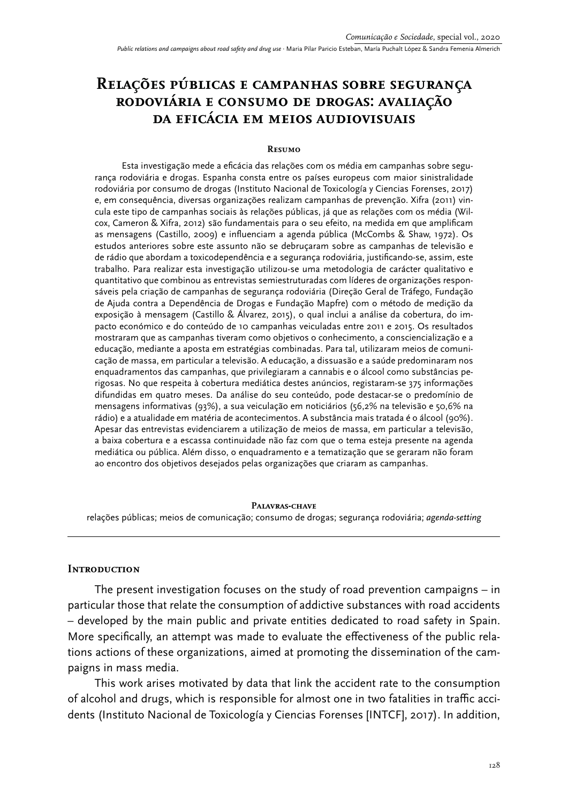# **Relações públicas e campanhas sobre segurança rodoviária e consumo de drogas: avaliação da eficácia em meios audiovisuais**

#### **Resumo**

Esta investigação mede a eficácia das relações com os média em campanhas sobre segurança rodoviária e drogas. Espanha consta entre os países europeus com maior sinistralidade rodoviária por consumo de drogas (Instituto Nacional de Toxicología y Ciencias Forenses, 2017) e, em consequência, diversas organizações realizam campanhas de prevenção. Xifra (2011) vincula este tipo de campanhas sociais às relações públicas, já que as relações com os média (Wilcox, Cameron & Xifra, 2012) são fundamentais para o seu efeito, na medida em que amplificam as mensagens (Castillo, 2009) e influenciam a agenda pública (McCombs & Shaw, 1972). Os estudos anteriores sobre este assunto não se debruçaram sobre as campanhas de televisão e de rádio que abordam a toxicodependência e a segurança rodoviária, justificando-se, assim, este trabalho. Para realizar esta investigação utilizou-se uma metodologia de carácter qualitativo e quantitativo que combinou as entrevistas semiestruturadas com líderes de organizações responsáveis pela criação de campanhas de segurança rodoviária (Direção Geral de Tráfego, Fundação de Ajuda contra a Dependência de Drogas e Fundação Mapfre) com o método de medição da exposição à mensagem (Castillo & Álvarez, 2015), o qual inclui a análise da cobertura, do impacto económico e do conteúdo de 10 campanhas veiculadas entre 2011 e 2015. Os resultados mostraram que as campanhas tiveram como objetivos o conhecimento, a consciencialização e a educação, mediante a aposta em estratégias combinadas. Para tal, utilizaram meios de comunicação de massa, em particular a televisão. A educação, a dissuasão e a saúde predominaram nos enquadramentos das campanhas, que privilegiaram a cannabis e o álcool como substâncias perigosas. No que respeita à cobertura mediática destes anúncios, registaram-se 375 informações difundidas em quatro meses. Da análise do seu conteúdo, pode destacar-se o predomínio de mensagens informativas (93%), a sua veiculação em noticiários (56,2% na televisão e 50,6% na rádio) e a atualidade em matéria de acontecimentos. A substância mais tratada é o álcool (90%). Apesar das entrevistas evidenciarem a utilização de meios de massa, em particular a televisão, a baixa cobertura e a escassa continuidade não faz com que o tema esteja presente na agenda mediática ou pública. Além disso, o enquadramento e a tematização que se geraram não foram ao encontro dos objetivos desejados pelas organizações que criaram as campanhas.

#### **Palavras-chave**

relações públicas; meios de comunicação; consumo de drogas; segurança rodoviária; *agenda-setting*

#### **Introduction**

The present investigation focuses on the study of road prevention campaigns – in particular those that relate the consumption of addictive substances with road accidents – developed by the main public and private entities dedicated to road safety in Spain. More specifically, an attempt was made to evaluate the effectiveness of the public relations actions of these organizations, aimed at promoting the dissemination of the campaigns in mass media.

This work arises motivated by data that link the accident rate to the consumption of alcohol and drugs, which is responsible for almost one in two fatalities in traffic accidents (Instituto Nacional de Toxicología y Ciencias Forenses [INTCF], 2017). In addition,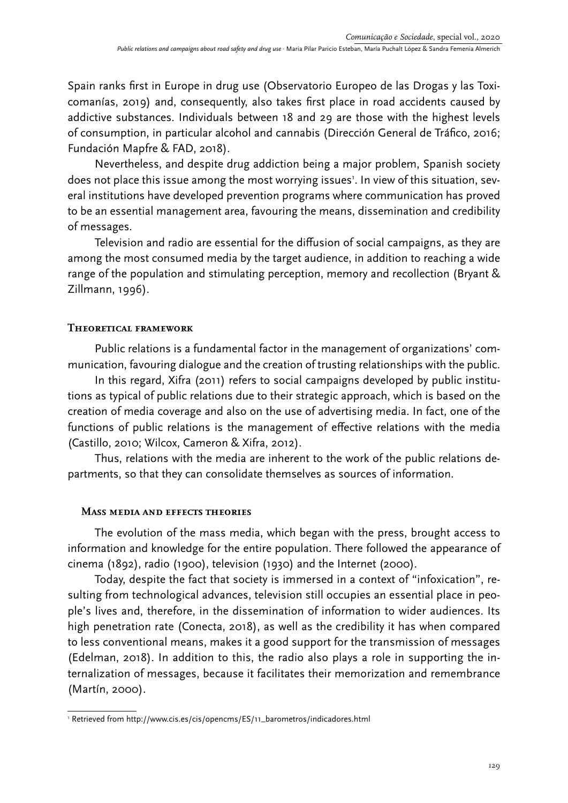Spain ranks first in Europe in drug use (Observatorio Europeo de las Drogas y las Toxicomanías, 2019) and, consequently, also takes first place in road accidents caused by addictive substances. Individuals between 18 and 29 are those with the highest levels of consumption, in particular alcohol and cannabis (Dirección General de Tráfico, 2016; Fundación Mapfre & FAD, 2018).

Nevertheless, and despite drug addiction being a major problem, Spanish society does not place this issue among the most worrying issues<sup>1</sup>. In view of this situation, several institutions have developed prevention programs where communication has proved to be an essential management area, favouring the means, dissemination and credibility of messages.

Television and radio are essential for the diffusion of social campaigns, as they are among the most consumed media by the target audience, in addition to reaching a wide range of the population and stimulating perception, memory and recollection (Bryant & Zillmann, 1996).

### **Theoretical framework**

Public relations is a fundamental factor in the management of organizations' communication, favouring dialogue and the creation of trusting relationships with the public.

In this regard, Xifra (2011) refers to social campaigns developed by public institutions as typical of public relations due to their strategic approach, which is based on the creation of media coverage and also on the use of advertising media. In fact, one of the functions of public relations is the management of effective relations with the media (Castillo, 2010; Wilcox, Cameron & Xifra, 2012).

Thus, relations with the media are inherent to the work of the public relations departments, so that they can consolidate themselves as sources of information.

### **Mass media and effects theories**

The evolution of the mass media, which began with the press, brought access to information and knowledge for the entire population. There followed the appearance of cinema (1892), radio (1900), television (1930) and the Internet (2000).

Today, despite the fact that society is immersed in a context of "infoxication", resulting from technological advances, television still occupies an essential place in people's lives and, therefore, in the dissemination of information to wider audiences. Its high penetration rate (Conecta, 2018), as well as the credibility it has when compared to less conventional means, makes it a good support for the transmission of messages (Edelman, 2018). In addition to this, the radio also plays a role in supporting the internalization of messages, because it facilitates their memorization and remembrance (Martín, 2000).

<sup>1</sup> Retrieved from http://www.cis.es/cis/opencms/ES/11\_barometros/indicadores.html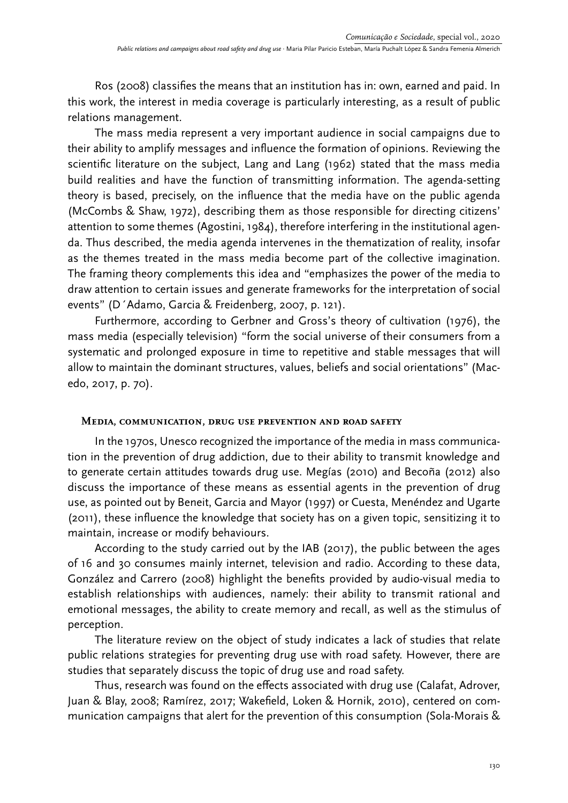Ros (2008) classifies the means that an institution has in: own, earned and paid. In this work, the interest in media coverage is particularly interesting, as a result of public relations management.

The mass media represent a very important audience in social campaigns due to their ability to amplify messages and influence the formation of opinions. Reviewing the scientific literature on the subject, Lang and Lang (1962) stated that the mass media build realities and have the function of transmitting information. The agenda-setting theory is based, precisely, on the influence that the media have on the public agenda (McCombs & Shaw, 1972), describing them as those responsible for directing citizens' attention to some themes (Agostini, 1984), therefore interfering in the institutional agenda. Thus described, the media agenda intervenes in the thematization of reality, insofar as the themes treated in the mass media become part of the collective imagination. The framing theory complements this idea and "emphasizes the power of the media to draw attention to certain issues and generate frameworks for the interpretation of social events" (D´Adamo, Garcia & Freidenberg, 2007, p. 121).

Furthermore, according to Gerbner and Gross's theory of cultivation (1976), the mass media (especially television) "form the social universe of their consumers from a systematic and prolonged exposure in time to repetitive and stable messages that will allow to maintain the dominant structures, values, beliefs and social orientations" (Macedo, 2017, p. 70).

#### **Media, communication, drug use prevention and road safety**

In the 1970s, Unesco recognized the importance of the media in mass communication in the prevention of drug addiction, due to their ability to transmit knowledge and to generate certain attitudes towards drug use. Megías (2010) and Becoña (2012) also discuss the importance of these means as essential agents in the prevention of drug use, as pointed out by Beneit, Garcia and Mayor (1997) or Cuesta, Menéndez and Ugarte (2011), these influence the knowledge that society has on a given topic, sensitizing it to maintain, increase or modify behaviours.

According to the study carried out by the IAB (2017), the public between the ages of 16 and 30 consumes mainly internet, television and radio. According to these data, González and Carrero (2008) highlight the benefits provided by audio-visual media to establish relationships with audiences, namely: their ability to transmit rational and emotional messages, the ability to create memory and recall, as well as the stimulus of perception.

The literature review on the object of study indicates a lack of studies that relate public relations strategies for preventing drug use with road safety. However, there are studies that separately discuss the topic of drug use and road safety.

Thus, research was found on the effects associated with drug use (Calafat, Adrover, Juan & Blay, 2008; Ramírez, 2017; Wakefield, Loken & Hornik, 2010), centered on communication campaigns that alert for the prevention of this consumption (Sola-Morais &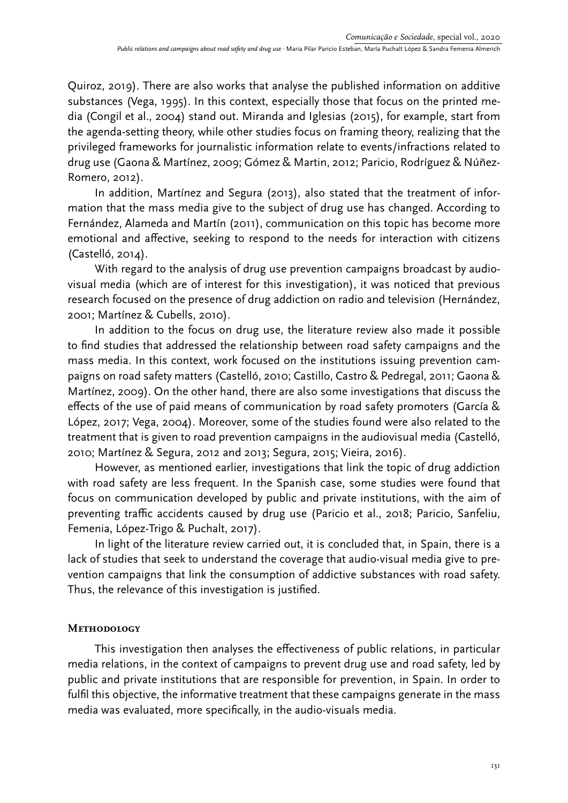Quiroz, 2019). There are also works that analyse the published information on additive substances (Vega, 1995). In this context, especially those that focus on the printed media (Congil et al., 2004) stand out. Miranda and Iglesias (2015), for example, start from the agenda-setting theory, while other studies focus on framing theory, realizing that the privileged frameworks for journalistic information relate to events/infractions related to drug use (Gaona & Martínez, 2009; Gómez & Martin, 2012; Paricio, Rodríguez & Núñez-Romero, 2012).

In addition, Martínez and Segura (2013), also stated that the treatment of information that the mass media give to the subject of drug use has changed. According to Fernández, Alameda and Martín (2011), communication on this topic has become more emotional and affective, seeking to respond to the needs for interaction with citizens (Castelló, 2014).

With regard to the analysis of drug use prevention campaigns broadcast by audiovisual media (which are of interest for this investigation), it was noticed that previous research focused on the presence of drug addiction on radio and television (Hernández, 2001; Martínez & Cubells, 2010).

In addition to the focus on drug use, the literature review also made it possible to find studies that addressed the relationship between road safety campaigns and the mass media. In this context, work focused on the institutions issuing prevention campaigns on road safety matters (Castelló, 2010; Castillo, Castro & Pedregal, 2011; Gaona & Martínez, 2009). On the other hand, there are also some investigations that discuss the effects of the use of paid means of communication by road safety promoters (García & López, 2017; Vega, 2004). Moreover, some of the studies found were also related to the treatment that is given to road prevention campaigns in the audiovisual media (Castelló, 2010; Martínez & Segura, 2012 and 2013; Segura, 2015; Vieira, 2016).

However, as mentioned earlier, investigations that link the topic of drug addiction with road safety are less frequent. In the Spanish case, some studies were found that focus on communication developed by public and private institutions, with the aim of preventing traffic accidents caused by drug use (Paricio et al., 2018; Paricio, Sanfeliu, Femenia, López-Trigo & Puchalt, 2017).

In light of the literature review carried out, it is concluded that, in Spain, there is a lack of studies that seek to understand the coverage that audio-visual media give to prevention campaigns that link the consumption of addictive substances with road safety. Thus, the relevance of this investigation is justified.

### **Methodology**

This investigation then analyses the effectiveness of public relations, in particular media relations, in the context of campaigns to prevent drug use and road safety, led by public and private institutions that are responsible for prevention, in Spain. In order to fulfil this objective, the informative treatment that these campaigns generate in the mass media was evaluated, more specifically, in the audio-visuals media.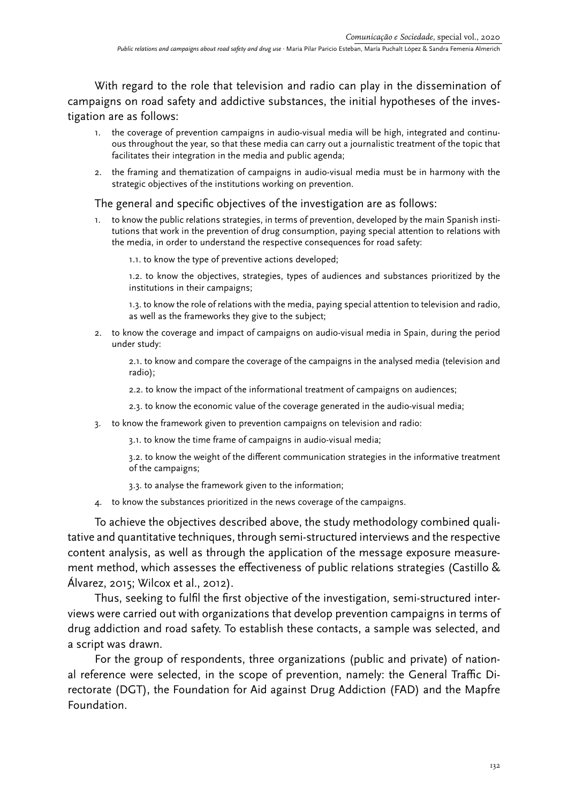With regard to the role that television and radio can play in the dissemination of campaigns on road safety and addictive substances, the initial hypotheses of the investigation are as follows:

- 1. the coverage of prevention campaigns in audio-visual media will be high, integrated and continuous throughout the year, so that these media can carry out a journalistic treatment of the topic that facilitates their integration in the media and public agenda;
- 2. the framing and thematization of campaigns in audio-visual media must be in harmony with the strategic objectives of the institutions working on prevention.

### The general and specific objectives of the investigation are as follows:

1. to know the public relations strategies, in terms of prevention, developed by the main Spanish institutions that work in the prevention of drug consumption, paying special attention to relations with the media, in order to understand the respective consequences for road safety:

1.1. to know the type of preventive actions developed;

1.2. to know the objectives, strategies, types of audiences and substances prioritized by the institutions in their campaigns;

1.3. to know the role of relations with the media, paying special attention to television and radio, as well as the frameworks they give to the subject;

2. to know the coverage and impact of campaigns on audio-visual media in Spain, during the period under study:

2.1. to know and compare the coverage of the campaigns in the analysed media (television and radio);

- 2.2. to know the impact of the informational treatment of campaigns on audiences;
- 2.3. to know the economic value of the coverage generated in the audio-visual media;
- 3. to know the framework given to prevention campaigns on television and radio:

3.1. to know the time frame of campaigns in audio-visual media;

3.2. to know the weight of the different communication strategies in the informative treatment of the campaigns;

- 3.3. to analyse the framework given to the information;
- 4. to know the substances prioritized in the news coverage of the campaigns.

To achieve the objectives described above, the study methodology combined qualitative and quantitative techniques, through semi-structured interviews and the respective content analysis, as well as through the application of the message exposure measurement method, which assesses the effectiveness of public relations strategies (Castillo & Álvarez, 2015; Wilcox et al., 2012).

Thus, seeking to fulfil the first objective of the investigation, semi-structured interviews were carried out with organizations that develop prevention campaigns in terms of drug addiction and road safety. To establish these contacts, a sample was selected, and a script was drawn.

For the group of respondents, three organizations (public and private) of national reference were selected, in the scope of prevention, namely: the General Traffic Directorate (DGT), the Foundation for Aid against Drug Addiction (FAD) and the Mapfre Foundation.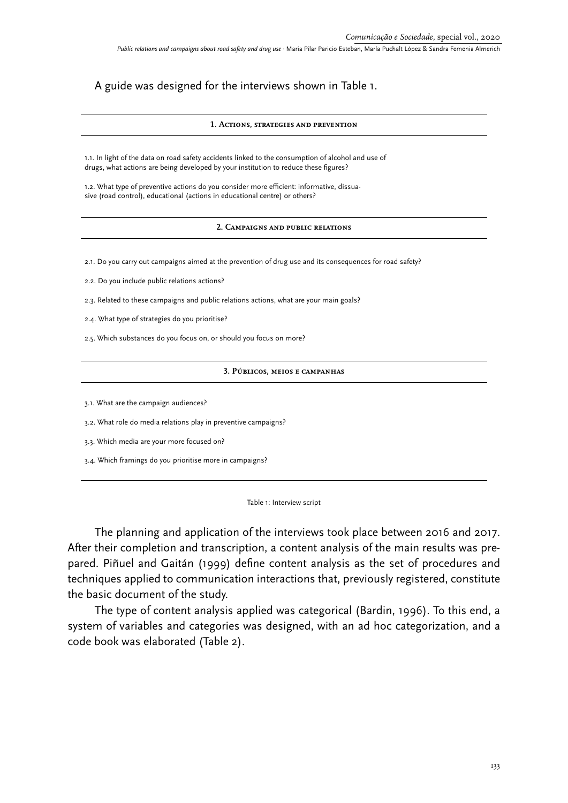### A guide was designed for the interviews shown in Table 1.

#### **1. Actions, strategies and prevention**

1.1. In light of the data on road safety accidents linked to the consumption of alcohol and use of drugs, what actions are being developed by your institution to reduce these figures?

1.2. What type of preventive actions do you consider more efficient: informative, dissuasive (road control), educational (actions in educational centre) or others?

#### **2. Campaigns and public relations**

2.1. Do you carry out campaigns aimed at the prevention of drug use and its consequences for road safety?

2.2. Do you include public relations actions?

2.3. Related to these campaigns and public relations actions, what are your main goals?

2.4. What type of strategies do you prioritise?

2.5. Which substances do you focus on, or should you focus on more?

#### **3. Públicos, meios e campanhas**

3.1. What are the campaign audiences?

3.2. What role do media relations play in preventive campaigns?

3.3. Which media are your more focused on?

3.4. Which framings do you prioritise more in campaigns?

#### Table 1: Interview script

The planning and application of the interviews took place between 2016 and 2017. After their completion and transcription, a content analysis of the main results was prepared. Piñuel and Gaitán (1999) define content analysis as the set of procedures and techniques applied to communication interactions that, previously registered, constitute the basic document of the study.

The type of content analysis applied was categorical (Bardin, 1996). To this end, a system of variables and categories was designed, with an ad hoc categorization, and a code book was elaborated (Table 2).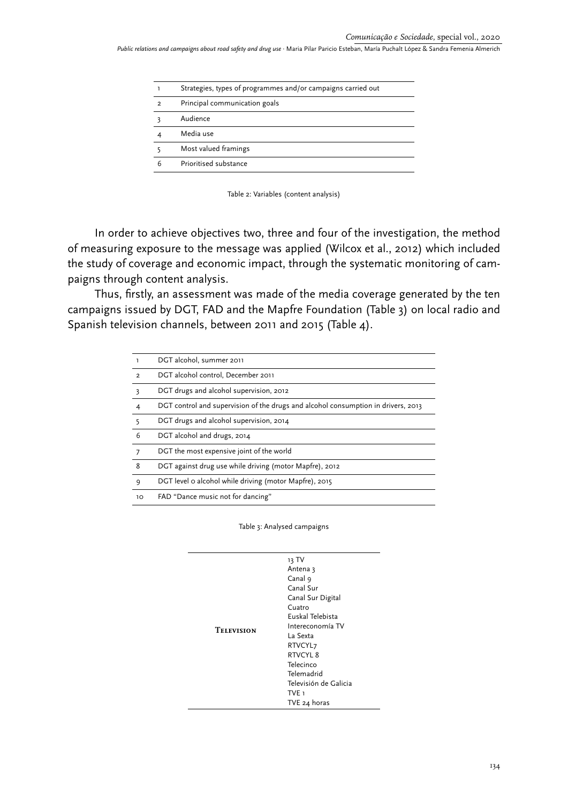|                | Strategies, types of programmes and/or campaigns carried out |
|----------------|--------------------------------------------------------------|
| $\mathfrak{D}$ | Principal communication goals                                |
|                | Audience                                                     |
|                | Media use                                                    |
|                | Most valued framings                                         |
| 6              | Prioritised substance                                        |
|                |                                                              |

Table 2: Variables (content analysis)

In order to achieve objectives two, three and four of the investigation, the method of measuring exposure to the message was applied (Wilcox et al., 2012) which included the study of coverage and economic impact, through the systematic monitoring of campaigns through content analysis.

Thus, firstly, an assessment was made of the media coverage generated by the ten campaigns issued by DGT, FAD and the Mapfre Foundation (Table 3) on local radio and Spanish television channels, between 2011 and 2015 (Table 4).

|                | DGT alcohol, summer 2011                                                          |
|----------------|-----------------------------------------------------------------------------------|
| $\overline{2}$ | DGT alcohol control, December 2011                                                |
| 3              | DGT drugs and alcohol supervision, 2012                                           |
| $\overline{4}$ | DGT control and supervision of the drugs and alcohol consumption in drivers, 2013 |
| 5              | DGT drugs and alcohol supervision, 2014                                           |
| 6              | DGT alcohol and drugs, 2014                                                       |
|                | DGT the most expensive joint of the world                                         |
| 8              | DGT against drug use while driving (motor Mapfre), 2012                           |
| 9              | DGT level o alcohol while driving (motor Mapfre), 2015                            |
| 10             | FAD "Dance music not for dancing"                                                 |

Table 3: Analysed campaigns

|                   | 13 TV                 |
|-------------------|-----------------------|
|                   | Antena 3              |
|                   | Canal 9               |
|                   | Canal Sur             |
|                   | Canal Sur Digital     |
|                   | Cuatro                |
|                   | Euskal Telebista      |
| <b>TELEVISION</b> | Intereconomía TV      |
|                   | La Sexta              |
|                   | RTVCYL <sub>7</sub>   |
|                   | RTVCYL 8              |
|                   | Telecinco             |
|                   | Telemadrid            |
|                   | Televisión de Galicia |
|                   | TVE <sub>1</sub>      |
|                   | TVE 24 horas          |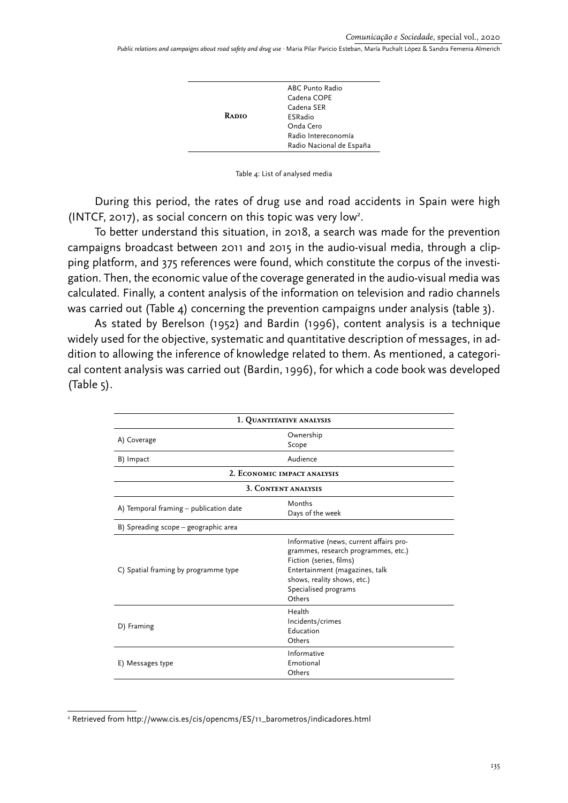|       | ABC Punto Radio          |
|-------|--------------------------|
|       | Cadena COPE              |
|       | Cadena SER               |
| RADIO | <b>ESRadio</b>           |
|       | Onda Cero                |
|       | Radio Intereconomía      |
|       | Radio Nacional de España |
|       |                          |



During this period, the rates of drug use and road accidents in Spain were high (INTCF, 2017), as social concern on this topic was very low2 .

To better understand this situation, in 2018, a search was made for the prevention campaigns broadcast between 2011 and 2015 in the audio-visual media, through a clipping platform, and 375 references were found, which constitute the corpus of the investigation. Then, the economic value of the coverage generated in the audio-visual media was calculated. Finally, a content analysis of the information on television and radio channels was carried out (Table 4) concerning the prevention campaigns under analysis (table 3).

As stated by Berelson (1952) and Bardin (1996), content analysis is a technique widely used for the objective, systematic and quantitative description of messages, in addition to allowing the inference of knowledge related to them. As mentioned, a categorical content analysis was carried out (Bardin, 1996), for which a code book was developed  $(Table 5)$ .

| 1. QUANTITATIVE ANALYSIS               |                                                                                                                                                                                                              |  |  |  |
|----------------------------------------|--------------------------------------------------------------------------------------------------------------------------------------------------------------------------------------------------------------|--|--|--|
| A) Coverage                            | Ownership<br>Scope                                                                                                                                                                                           |  |  |  |
| B) Impact                              | Audience                                                                                                                                                                                                     |  |  |  |
|                                        | 2. ECONOMIC IMPACT ANALYSIS                                                                                                                                                                                  |  |  |  |
|                                        | 3. CONTENT ANALYSIS                                                                                                                                                                                          |  |  |  |
| A) Temporal framing - publication date | Months<br>Days of the week                                                                                                                                                                                   |  |  |  |
| B) Spreading scope - geographic area   |                                                                                                                                                                                                              |  |  |  |
| C) Spatial framing by programme type   | Informative (news, current affairs pro-<br>grammes, research programmes, etc.)<br>Fiction (series, films)<br>Entertainment (magazines, talk<br>shows, reality shows, etc.)<br>Specialised programs<br>Others |  |  |  |
| D) Framing                             | Health<br>Incidents/crimes<br>Education<br>Others                                                                                                                                                            |  |  |  |
| E) Messages type                       | Informative<br>Emotional<br>Others                                                                                                                                                                           |  |  |  |

<sup>2</sup> Retrieved from http://www.cis.es/cis/opencms/ES/11\_barometros/indicadores.html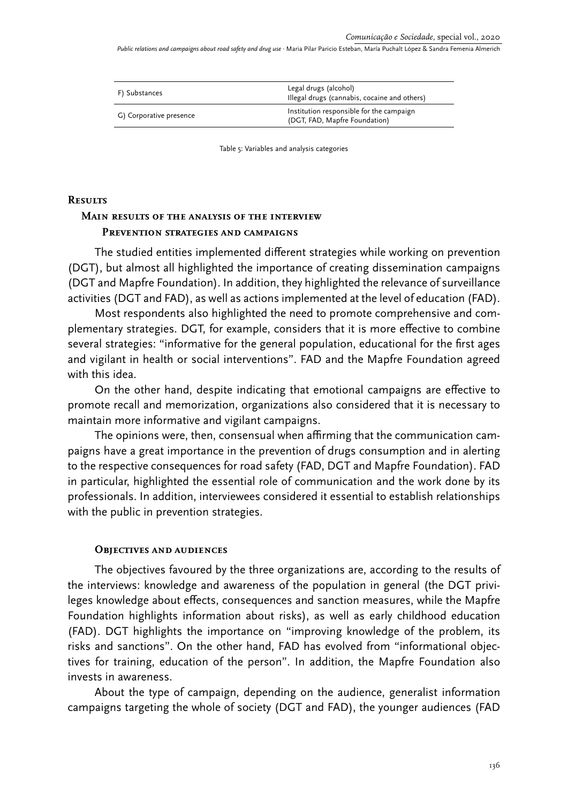| F) Substances           | Legal drugs (alcohol)<br>Illegal drugs (cannabis, cocaine and others)     |  |
|-------------------------|---------------------------------------------------------------------------|--|
| G) Corporative presence | Institution responsible for the campaign<br>(DGT, FAD, Mapfre Foundation) |  |

Table 5: Variables and analysis categories

### **Results**

# **Main results of the analysis of the interview Prevention strategies and campaigns**

The studied entities implemented different strategies while working on prevention (DGT), but almost all highlighted the importance of creating dissemination campaigns (DGT and Mapfre Foundation). In addition, they highlighted the relevance of surveillance activities (DGT and FAD), as well as actions implemented at the level of education (FAD).

Most respondents also highlighted the need to promote comprehensive and complementary strategies. DGT, for example, considers that it is more effective to combine several strategies: "informative for the general population, educational for the first ages and vigilant in health or social interventions". FAD and the Mapfre Foundation agreed with this idea.

On the other hand, despite indicating that emotional campaigns are effective to promote recall and memorization, organizations also considered that it is necessary to maintain more informative and vigilant campaigns.

The opinions were, then, consensual when affirming that the communication campaigns have a great importance in the prevention of drugs consumption and in alerting to the respective consequences for road safety (FAD, DGT and Mapfre Foundation). FAD in particular, highlighted the essential role of communication and the work done by its professionals. In addition, interviewees considered it essential to establish relationships with the public in prevention strategies.

### **Objectives and audiences**

The objectives favoured by the three organizations are, according to the results of the interviews: knowledge and awareness of the population in general (the DGT privileges knowledge about effects, consequences and sanction measures, while the Mapfre Foundation highlights information about risks), as well as early childhood education (FAD). DGT highlights the importance on "improving knowledge of the problem, its risks and sanctions". On the other hand, FAD has evolved from "informational objectives for training, education of the person". In addition, the Mapfre Foundation also invests in awareness.

About the type of campaign, depending on the audience, generalist information campaigns targeting the whole of society (DGT and FAD), the younger audiences (FAD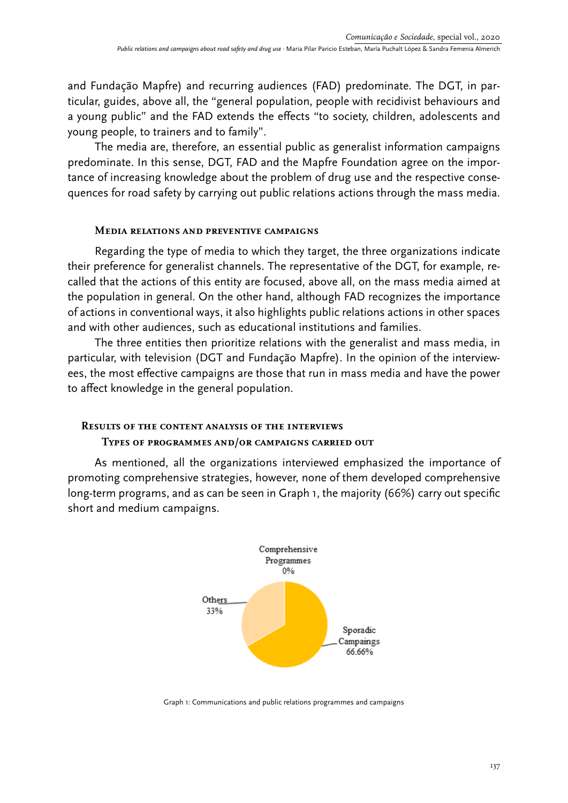and Fundação Mapfre) and recurring audiences (FAD) predominate. The DGT, in particular, guides, above all, the "general population, people with recidivist behaviours and a young public" and the FAD extends the effects "to society, children, adolescents and young people, to trainers and to family".

The media are, therefore, an essential public as generalist information campaigns predominate. In this sense, DGT, FAD and the Mapfre Foundation agree on the importance of increasing knowledge about the problem of drug use and the respective consequences for road safety by carrying out public relations actions through the mass media.

#### **Media relations and preventive campaigns**

Regarding the type of media to which they target, the three organizations indicate their preference for generalist channels. The representative of the DGT, for example, recalled that the actions of this entity are focused, above all, on the mass media aimed at the population in general. On the other hand, although FAD recognizes the importance of actions in conventional ways, it also highlights public relations actions in other spaces and with other audiences, such as educational institutions and families.

The three entities then prioritize relations with the generalist and mass media, in particular, with television (DGT and Fundação Mapfre). In the opinion of the interviewees, the most effective campaigns are those that run in mass media and have the power to affect knowledge in the general population.

### **Results of the content analysis of the interviews**

### **Types of programmes and/or campaigns carried out**

As mentioned, all the organizations interviewed emphasized the importance of promoting comprehensive strategies, however, none of them developed comprehensive long-term programs, and as can be seen in Graph 1, the majority (66%) carry out specific short and medium campaigns.



Graph 1: Communications and public relations programmes and campaigns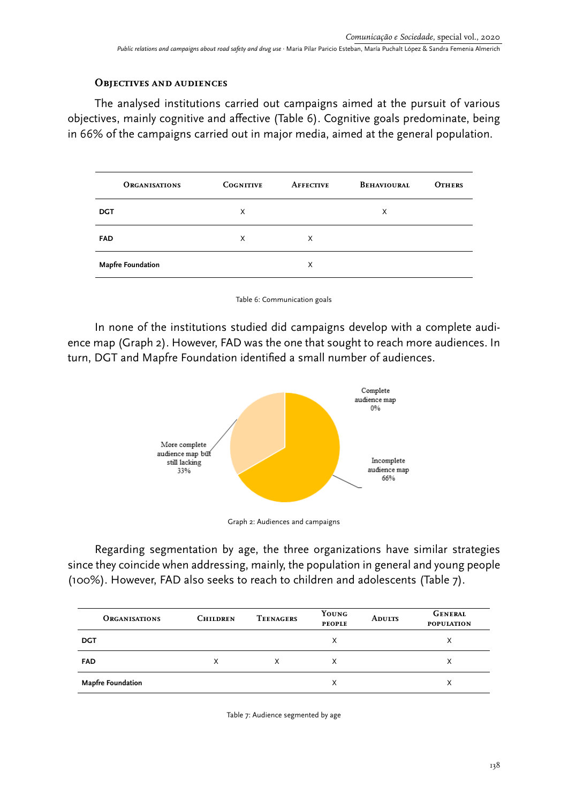### **Objectives and audiences**

The analysed institutions carried out campaigns aimed at the pursuit of various objectives, mainly cognitive and affective (Table 6). Cognitive goals predominate, being in 66% of the campaigns carried out in major media, aimed at the general population.

| <b>ORGANISATIONS</b>     | <b>COGNITIVE</b> | <b>AFFECTIVE</b> | <b>BEHAVIOURAL</b> | <b>OTHERS</b> |
|--------------------------|------------------|------------------|--------------------|---------------|
| <b>DGT</b>               | X                |                  | X                  |               |
| <b>FAD</b>               | X                | X                |                    |               |
| <b>Mapfre Foundation</b> |                  | X                |                    |               |

Table 6: Communication goals

In none of the institutions studied did campaigns develop with a complete audience map (Graph 2). However, FAD was the one that sought to reach more audiences. In turn, DGT and Mapfre Foundation identified a small number of audiences.



Graph 2: Audiences and campaigns

Regarding segmentation by age, the three organizations have similar strategies since they coincide when addressing, mainly, the population in general and young people (100%). However, FAD also seeks to reach to children and adolescents (Table 7).

| <b>ORGANISATIONS</b>     | <b>CHILDREN</b> | <b>TEENAGERS</b> | YOUNG<br><b>PEOPLE</b> | <b>ADULTS</b> | <b>GENERAL</b><br><b>POPULATION</b> |
|--------------------------|-----------------|------------------|------------------------|---------------|-------------------------------------|
| <b>DGT</b>               |                 |                  | X                      |               | х                                   |
| <b>FAD</b>               | X               | х                | X                      |               | х                                   |
| <b>Mapfre Foundation</b> |                 |                  | X                      |               | х                                   |

Table 7: Audience segmented by age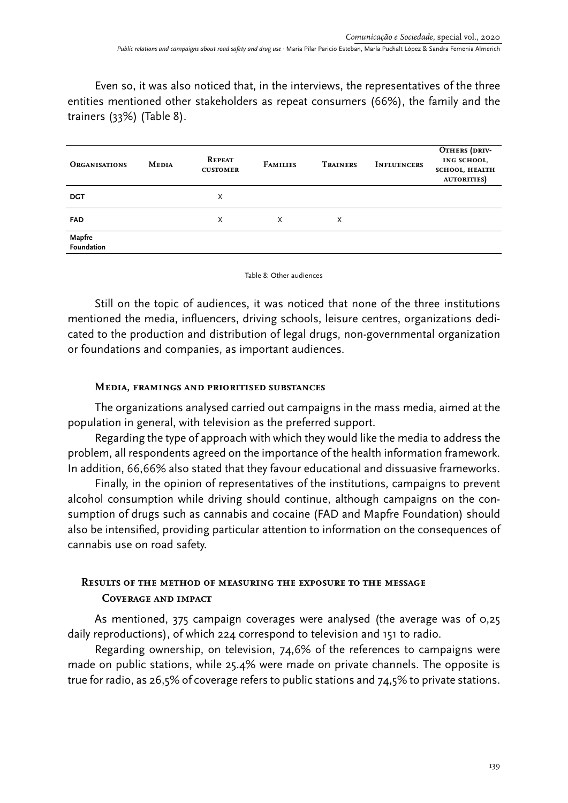Even so, it was also noticed that, in the interviews, the representatives of the three entities mentioned other stakeholders as repeat consumers (66%), the family and the trainers (33%) (Table 8).

| <b>ORGANISATIONS</b>        | <b>MEDIA</b> | <b>REPEAT</b><br><b>CUSTOMER</b> | <b>FAMILIES</b> | TRAINERS | <b>INFLUENCERS</b> | OTHERS (DRIV-<br>ING SCHOOL,<br><b>SCHOOL, HEALTH</b><br><b>AUTORITIES</b> |
|-----------------------------|--------------|----------------------------------|-----------------|----------|--------------------|----------------------------------------------------------------------------|
| <b>DGT</b>                  |              | X                                |                 |          |                    |                                                                            |
| <b>FAD</b>                  |              | X                                | X               | X        |                    |                                                                            |
| Mapfre<br><b>Foundation</b> |              |                                  |                 |          |                    |                                                                            |

Table 8: Other audiences

Still on the topic of audiences, it was noticed that none of the three institutions mentioned the media, influencers, driving schools, leisure centres, organizations dedicated to the production and distribution of legal drugs, non-governmental organization or foundations and companies, as important audiences.

## **Media, framings and prioritised substances**

The organizations analysed carried out campaigns in the mass media, aimed at the population in general, with television as the preferred support.

Regarding the type of approach with which they would like the media to address the problem, all respondents agreed on the importance of the health information framework. In addition, 66,66% also stated that they favour educational and dissuasive frameworks.

Finally, in the opinion of representatives of the institutions, campaigns to prevent alcohol consumption while driving should continue, although campaigns on the consumption of drugs such as cannabis and cocaine (FAD and Mapfre Foundation) should also be intensified, providing particular attention to information on the consequences of cannabis use on road safety.

# **Results of the method of measuring the exposure to the message Coverage and impact**

As mentioned, 375 campaign coverages were analysed (the average was of 0,25 daily reproductions), of which 224 correspond to television and 151 to radio.

Regarding ownership, on television, 74,6% of the references to campaigns were made on public stations, while 25.4% were made on private channels. The opposite is true for radio, as 26,5% of coverage refers to public stations and 74,5% to private stations.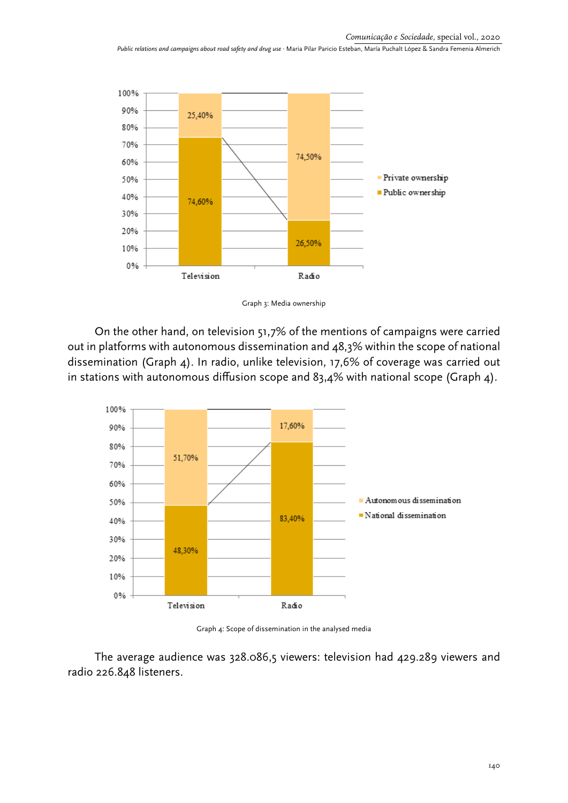

Graph 3: Media ownership

On the other hand, on television 51,7% of the mentions of campaigns were carried out in platforms with autonomous dissemination and 48,3% within the scope of national dissemination (Graph 4). In radio, unlike television, 17,6% of coverage was carried out in stations with autonomous diffusion scope and  $83,4\%$  with national scope (Graph 4).



Graph 4: Scope of dissemination in the analysed media

The average audience was 328.086,5 viewers: television had 429.289 viewers and radio 226.848 listeners.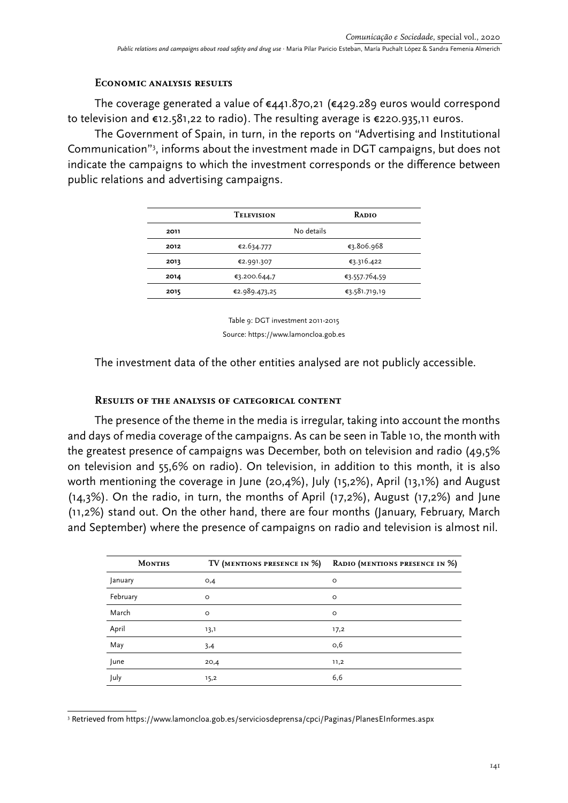### **Economic analysis results**

The coverage generated a value of €441.870,21 (€429.289 euros would correspond to television and €12.581,22 to radio). The resulting average is €220.935,11 euros.

The Government of Spain, in turn, in the reports on "Advertising and Institutional Communication"3 , informs about the investment made in DGT campaigns, but does not indicate the campaigns to which the investment corresponds or the difference between public relations and advertising campaigns.

|      | <b>TELEVISION</b>        | <b>RADIO</b>  |
|------|--------------------------|---------------|
| 2011 | No details               |               |
| 2012 | €2.634.777<br>€3.806.968 |               |
| 2013 | €3.316.422<br>€2.991.307 |               |
| 2014 | €3.200.644,7             | €3.557.764,59 |
| 2015 | €2.989.473,25            | €3.581.719,19 |

Table 9: DGT investment 2011-2015 Source: https://www.lamoncloa.gob.es

The investment data of the other entities analysed are not publicly accessible.

# **Results of the analysis of categorical content**

The presence of the theme in the media is irregular, taking into account the months and days of media coverage of the campaigns. As can be seen in Table 10, the month with the greatest presence of campaigns was December, both on television and radio (49,5% on television and 55,6% on radio). On television, in addition to this month, it is also worth mentioning the coverage in June (20,4%), July (15,2%), April (13,1%) and August (14,3%). On the radio, in turn, the months of April (17,2%), August (17,2%) and June (11,2%) stand out. On the other hand, there are four months (January, February, March and September) where the presence of campaigns on radio and television is almost nil.

| <b>MONTHS</b> | TV (MENTIONS PRESENCE IN %) | RADIO (MENTIONS PRESENCE IN %) |
|---------------|-----------------------------|--------------------------------|
| January       | O,4                         | $\circ$                        |
| February      | $\circ$                     | $\circ$                        |
| March         | $\circ$                     | $\circ$                        |
| April         | 13,1                        | 17,2                           |
| May           | 3,4                         | O,6                            |
| June          | 20,4                        | 11,2                           |
| July          | 15,2                        | 6,6                            |

<sup>3</sup> Retrieved from https://www.lamoncloa.gob.es/serviciosdeprensa/cpci/Paginas/PlanesEInformes.aspx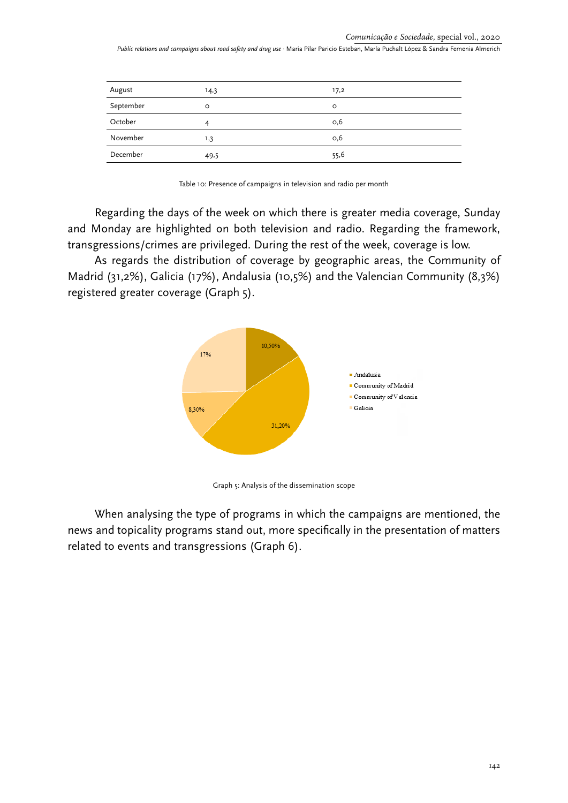| August    | 14,3 | 17,2    |
|-----------|------|---------|
| September | O    | $\circ$ |
| October   |      | O,6     |
| November  | 1,3  | O,6     |
| December  | 49,5 | 55,6    |

Table 10: Presence of campaigns in television and radio per month

Regarding the days of the week on which there is greater media coverage, Sunday and Monday are highlighted on both television and radio. Regarding the framework, transgressions/crimes are privileged. During the rest of the week, coverage is low.

As regards the distribution of coverage by geographic areas, the Community of Madrid (31,2%), Galicia (17%), Andalusia (10,5%) and the Valencian Community (8,3%) registered greater coverage (Graph 5).



Graph 5: Analysis of the dissemination scope

When analysing the type of programs in which the campaigns are mentioned, the news and topicality programs stand out, more specifically in the presentation of matters related to events and transgressions (Graph 6).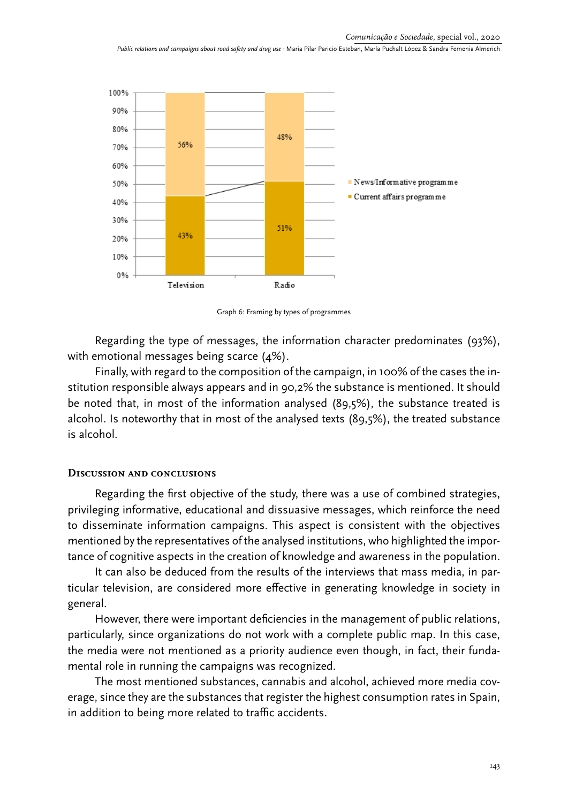

Graph 6: Framing by types of programmes

Regarding the type of messages, the information character predominates (93%), with emotional messages being scarce (4%).

Finally, with regard to the composition of the campaign, in 100% of the cases the institution responsible always appears and in 90,2% the substance is mentioned. It should be noted that, in most of the information analysed (89,5%), the substance treated is alcohol. Is noteworthy that in most of the analysed texts (89,5%), the treated substance is alcohol.

### **Discussion and conclusions**

Regarding the first objective of the study, there was a use of combined strategies, privileging informative, educational and dissuasive messages, which reinforce the need to disseminate information campaigns. This aspect is consistent with the objectives mentioned by the representatives of the analysed institutions, who highlighted the importance of cognitive aspects in the creation of knowledge and awareness in the population.

It can also be deduced from the results of the interviews that mass media, in particular television, are considered more effective in generating knowledge in society in general.

However, there were important deficiencies in the management of public relations, particularly, since organizations do not work with a complete public map. In this case, the media were not mentioned as a priority audience even though, in fact, their fundamental role in running the campaigns was recognized.

The most mentioned substances, cannabis and alcohol, achieved more media coverage, since they are the substances that register the highest consumption rates in Spain, in addition to being more related to traffic accidents.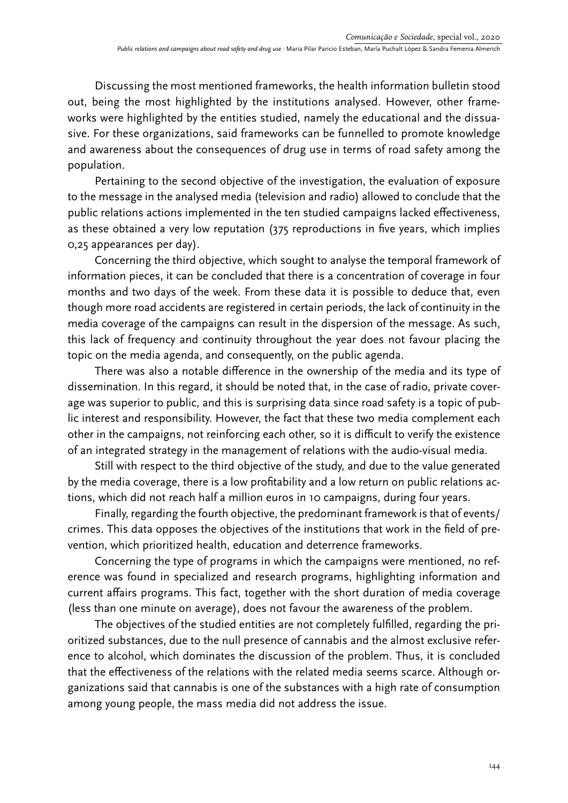Discussing the most mentioned frameworks, the health information bulletin stood out, being the most highlighted by the institutions analysed. However, other frameworks were highlighted by the entities studied, namely the educational and the dissuasive. For these organizations, said frameworks can be funnelled to promote knowledge and awareness about the consequences of drug use in terms of road safety among the population.

Pertaining to the second objective of the investigation, the evaluation of exposure to the message in the analysed media (television and radio) allowed to conclude that the public relations actions implemented in the ten studied campaigns lacked effectiveness, as these obtained a very low reputation (375 reproductions in five years, which implies 0,25 appearances per day).

Concerning the third objective, which sought to analyse the temporal framework of information pieces, it can be concluded that there is a concentration of coverage in four months and two days of the week. From these data it is possible to deduce that, even though more road accidents are registered in certain periods, the lack of continuity in the media coverage of the campaigns can result in the dispersion of the message. As such, this lack of frequency and continuity throughout the year does not favour placing the topic on the media agenda, and consequently, on the public agenda.

There was also a notable difference in the ownership of the media and its type of dissemination. In this regard, it should be noted that, in the case of radio, private coverage was superior to public, and this is surprising data since road safety is a topic of public interest and responsibility. However, the fact that these two media complement each other in the campaigns, not reinforcing each other, so it is difficult to verify the existence of an integrated strategy in the management of relations with the audio-visual media.

Still with respect to the third objective of the study, and due to the value generated by the media coverage, there is a low profitability and a low return on public relations actions, which did not reach half a million euros in 10 campaigns, during four years.

Finally, regarding the fourth objective, the predominant framework is that of events/ crimes. This data opposes the objectives of the institutions that work in the field of prevention, which prioritized health, education and deterrence frameworks.

Concerning the type of programs in which the campaigns were mentioned, no reference was found in specialized and research programs, highlighting information and current affairs programs. This fact, together with the short duration of media coverage (less than one minute on average), does not favour the awareness of the problem.

The objectives of the studied entities are not completely fulfilled, regarding the prioritized substances, due to the null presence of cannabis and the almost exclusive reference to alcohol, which dominates the discussion of the problem. Thus, it is concluded that the effectiveness of the relations with the related media seems scarce. Although organizations said that cannabis is one of the substances with a high rate of consumption among young people, the mass media did not address the issue.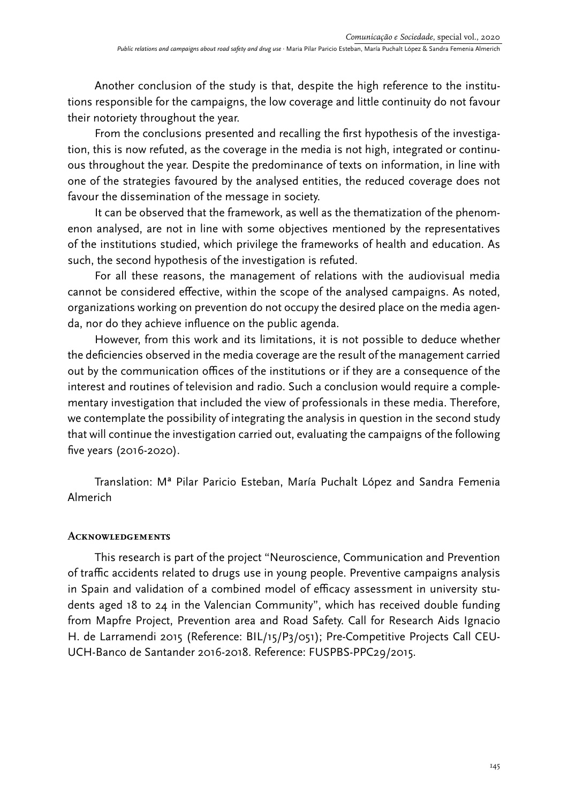Another conclusion of the study is that, despite the high reference to the institutions responsible for the campaigns, the low coverage and little continuity do not favour their notoriety throughout the year.

From the conclusions presented and recalling the first hypothesis of the investigation, this is now refuted, as the coverage in the media is not high, integrated or continuous throughout the year. Despite the predominance of texts on information, in line with one of the strategies favoured by the analysed entities, the reduced coverage does not favour the dissemination of the message in society.

It can be observed that the framework, as well as the thematization of the phenomenon analysed, are not in line with some objectives mentioned by the representatives of the institutions studied, which privilege the frameworks of health and education. As such, the second hypothesis of the investigation is refuted.

For all these reasons, the management of relations with the audiovisual media cannot be considered effective, within the scope of the analysed campaigns. As noted, organizations working on prevention do not occupy the desired place on the media agenda, nor do they achieve influence on the public agenda.

However, from this work and its limitations, it is not possible to deduce whether the deficiencies observed in the media coverage are the result of the management carried out by the communication offices of the institutions or if they are a consequence of the interest and routines of television and radio. Such a conclusion would require a complementary investigation that included the view of professionals in these media. Therefore, we contemplate the possibility of integrating the analysis in question in the second study that will continue the investigation carried out, evaluating the campaigns of the following five years (2016-2020).

Translation: Mª Pilar Paricio Esteban, María Puchalt López and Sandra Femenia Almerich

### **Acknowledgements**

This research is part of the project "Neuroscience, Communication and Prevention of traffic accidents related to drugs use in young people. Preventive campaigns analysis in Spain and validation of a combined model of efficacy assessment in university students aged 18 to 24 in the Valencian Community", which has received double funding from Mapfre Project, Prevention area and Road Safety. Call for Research Aids Ignacio H. de Larramendi 2015 (Reference: BIL/15/P3/051); Pre-Competitive Projects Call CEU-UCH-Banco de Santander 2016-2018. Reference: FUSPBS-PPC29/2015.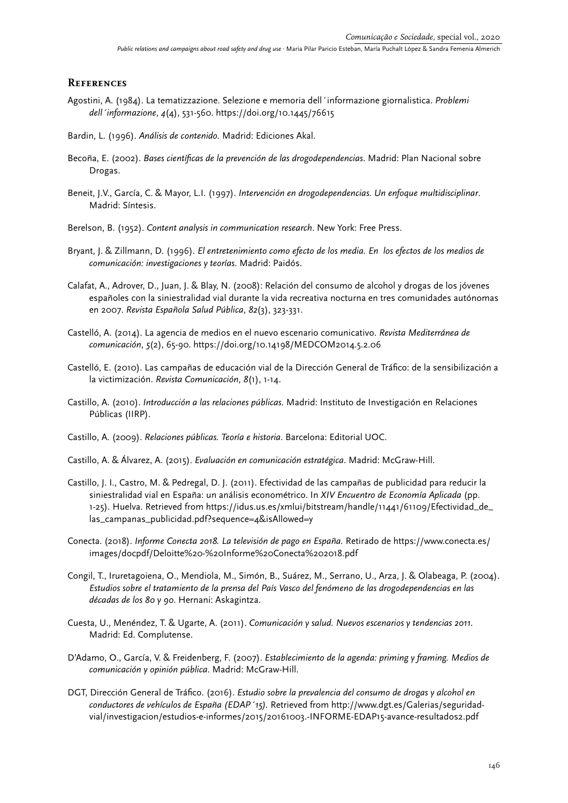#### **References**

- Agostini, A. (1984). La tematizzazione. Selezione e memoria dell´informazione giornalistica. *Problemi dell´informazione*, *4*(4), 531-560. https://doi.org/10.1445/76615
- Bardin, L. (1996). *Análisis de contenido.* Madrid: Ediciones Akal.
- Becoña, E. (2002). *Bases científicas de la prevención de las drogodependencias*. Madrid: Plan Nacional sobre Drogas.
- Beneit, J.V., García, C. & Mayor, L.I. (1997). *Intervención en drogodependencias. Un enfoque multidisciplinar*. Madrid: Síntesis.
- Berelson, B. (1952). *Content analysis in communication research*. New York: Free Press.
- Bryant, J. & Zillmann, D. (1996). *El entretenimiento como efecto de los media. En los efectos de los medios de comunicación: investigaciones y teorías*. Madrid: Paidós.
- Calafat, A., Adrover, D., Juan, J. & Blay, N. (2008): Relación del consumo de alcohol y drogas de los jóvenes españoles con la siniestralidad vial durante la vida recreativa nocturna en tres comunidades autónomas en 2007. *Revista Española Salud Pública*, *82*(3), 323-331.
- Castelló, A. (2014). La agencia de medios en el nuevo escenario comunicativo. *Revista Mediterránea de comunicación*, *5*(2), 65-90. https://doi.org/10.14198/MEDCOM2014.5.2.06
- Castelló, E. (2010). Las campañas de educación vial de la Dirección General de Tráfico: de la sensibilización a la victimización. *Revista Comunicación*, *8*(1), 1-14.
- Castillo, A. (2010). *Introducción a las relaciones públicas*. Madrid: Instituto de Investigación en Relaciones Públicas (IIRP).
- Castillo, A. (2009). *Relaciones públicas. Teoría e historia*. Barcelona: Editorial UOC.
- Castillo, A. & Álvarez, A. (2015). *Evaluación en comunicación estratégica*. Madrid: McGraw-Hill.
- Castillo, J. I., Castro, M. & Pedregal, D. J. (2011). Efectividad de las campañas de publicidad para reducir la siniestralidad vial en España: un análisis econométrico. In *XIV Encuentro de Economía Aplicada* (pp. 1-25). Huelva. Retrieved from https://idus.us.es/xmlui/bitstream/handle/11441/61109/Efectividad\_de\_ las\_campanas\_publicidad.pdf?sequence=4&isAllowed=y
- Conecta. (2018). *Informe Conecta 2018. La televisión de pago en España.* Retirado de https://www.conecta.es/ images/docpdf/Deloitte%20-%20Informe%20Conecta%202018.pdf
- Congil, T., Iruretagoiena, O., Mendiola, M., Simón, B., Suárez, M., Serrano, U., Arza, J. & Olabeaga, P. (2004). *Estudios sobre el tratamiento de la prensa del País Vasco del fenómeno de las drogodependencias en las décadas de los 80 y 90*. Hernani: Askagintza.
- Cuesta, U., Menéndez, T. & Ugarte, A. (2011). *Comunicación y salud. Nuevos escenarios y tendencias 2011*. Madrid: Ed. Complutense.
- D'Adamo, O., García, V. & Freidenberg, F. (2007). *Establecimiento de la agenda: priming y framing. Medios de comunicación y opinión pública*. Madrid: McGraw-Hill.
- DGT, Dirección General de Tráfico. (2016). *Estudio sobre la prevalencia del consumo de drogas y alcohol en conductores de vehículos de España (EDAP´15).* Retrieved from http://www.dgt.es/Galerias/seguridadvial/investigacion/estudios-e-informes/2015/20161003.-INFORME-EDAP15-avance-resultados2.pdf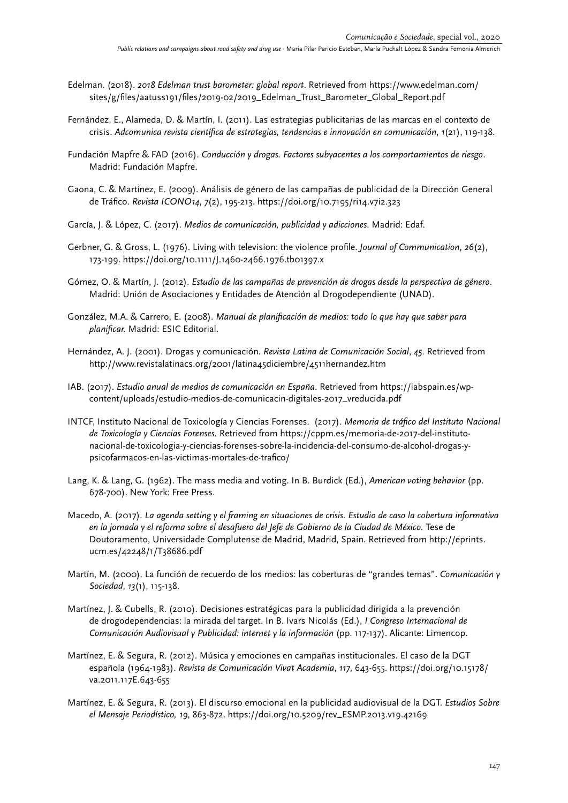- Edelman. (2018). *2018 Edelman trust barometer: global report*. Retrieved from https://www.edelman.com/ sites/g/files/aatuss191/files/2019-02/2019\_Edelman\_Trust\_Barometer\_Global\_Report.pdf
- Fernández, E., Alameda, D. & Martín, I. (2011). Las estrategias publicitarias de las marcas en el contexto de crisis. *Adcomunica revista científica de estrategias, tendencias e innovación en comunicación*, *1*(21), 119-138.
- Fundación Mapfre & FAD (2016). *Conducción y drogas. Factores subyacentes a los comportamientos de riesgo*. Madrid: Fundación Mapfre.
- Gaona, C. & Martínez, E. (2009). Análisis de género de las campañas de publicidad de la Dirección General de Tráfico. *Revista ICONO14*, *7*(2), 195-213. https://doi.org/10.7195/ri14.v7i2.323
- García, J. & López, C. (2017). *Medios de comunicación, publicidad y adicciones*. Madrid: Edaf.
- Gerbner, G. & Gross, L. (1976). Living with television: the violence profile. *Journal of Communication*, *26*(2), 173-199. https://doi.org/10.1111/J.1460-2466.1976.tb01397.x
- Gómez, O. & Martín, J. (2012). *Estudio de las campañas de prevención de drogas desde la perspectiva de género*. Madrid: Unión de Asociaciones y Entidades de Atención al Drogodependiente (UNAD).
- González, M.A. & Carrero, E. (2008). *Manual de planificación de medios: todo lo que hay que saber para planificar.* Madrid: ESIC Editorial.
- Hernández, A. J. (2001). Drogas y comunicación. *Revista Latina de Comunicación Social*, *45*. Retrieved from http://www.revistalatinacs.org/2001/latina45diciembre/4511hernandez.htm
- IAB. (2017). *Estudio anual de medios de comunicación en España*. Retrieved from https://iabspain.es/wpcontent/uploads/estudio-medios-de-comunicacin-digitales-2017\_vreducida.pdf
- INTCF, Instituto Nacional de Toxicología y Ciencias Forenses. (2017). *Memoria de tráfico del Instituto Nacional de Toxicología y Ciencias Forenses.* Retrieved from https://cppm.es/memoria-de-2017-del-institutonacional-de-toxicologia-y-ciencias-forenses-sobre-la-incidencia-del-consumo-de-alcohol-drogas-ypsicofarmacos-en-las-victimas-mortales-de-trafico/
- Lang, K. & Lang, G. (1962). The mass media and voting. In B. Burdick (Ed.), *American voting behavior* (pp. 678-700). New York: Free Press.
- Macedo, A. (2017). *La agenda setting y el framing en situaciones de crisis*. *Estudio de caso la cobertura informativa en la jornada y el reforma sobre el desafuero del Jefe de Gobierno de la Ciudad de México.* Tese de Doutoramento, Universidade Complutense de Madrid, Madrid, Spain. Retrieved from http://eprints. ucm.es/42248/1/T38686.pdf
- Martín, M. (2000). La función de recuerdo de los medios: las coberturas de "grandes temas". *Comunicación y Sociedad*, *13*(1), 115-138.
- Martínez, J. & Cubells, R. (2010). Decisiones estratégicas para la publicidad dirigida a la prevención de drogodependencias: la mirada del target. In B. Ivars Nicolás (Ed.), *I Congreso Internacional de Comunicación Audiovisual y Publicidad: internet y la información* (pp. 117-137). Alicante: Limencop.
- Martínez, E. & Segura, R. (2012). Música y emociones en campañas institucionales. El caso de la DGT española (1964-1983). *Revista de Comunicación Vivat Academia*, *117*, 643-655. https://doi.org/10.15178/ va.2011.117E.643-655
- Martínez, E. & Segura, R. (2013). El discurso emocional en la publicidad audiovisual de la DGT. *Estudios Sobre el Mensaje Periodístico, 19*, 863-872. https://doi.org/10.5209/rev\_ESMP.2013.v19.42169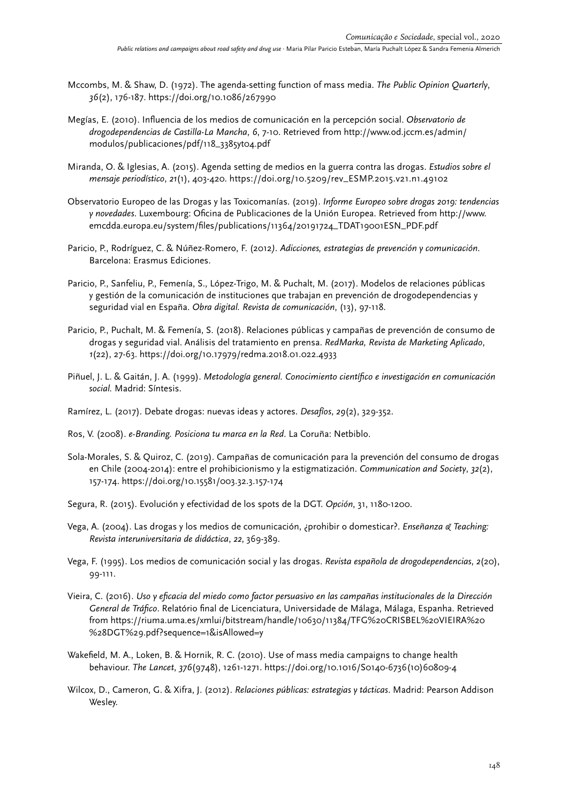- Mccombs, M. & Shaw, D. (1972). The agenda-setting function of mass media. *The Public Opinion Quarterly*, *36*(2), 176-187. https://doi.org/10.1086/267990
- Megías, E. (2010). Influencia de los medios de comunicación en la percepción social. *Observatorio de drogodependencias de Castilla-La Mancha*, *6*, 7-10. Retrieved from http://www.od.jccm.es/admin/ modulos/publicaciones/pdf/118\_3385yt04.pdf
- Miranda, O. & Iglesias, A. (2015). Agenda setting de medios en la guerra contra las drogas. *Estudios sobre el mensaje periodístico*, *21*(1), 403-420. https://doi.org/10.5209/rev\_ESMP.2015.v21.n1.49102
- Observatorio Europeo de las Drogas y las Toxicomanías. (2019). *Informe Europeo sobre drogas 2019: tendencias y novedades*. Luxembourg: Oficina de Publicaciones de la Unión Europea. Retrieved from http://www. emcdda.europa.eu/system/files/publications/11364/20191724\_TDAT19001ESN\_PDF.pdf
- Paricio, P., Rodríguez, C. & Núñez-Romero, F. (2012*). Adicciones, estrategias de prevención y comunicación*. Barcelona: Erasmus Ediciones.
- Paricio, P., Sanfeliu, P., Femenía, S., López-Trigo, M. & Puchalt, M. (2017). Modelos de relaciones públicas y gestión de la comunicación de instituciones que trabajan en prevención de drogodependencias y seguridad vial en España. *Obra digital. Revista de comunicación*, (13), 97-118.
- Paricio, P., Puchalt, M. & Femenía, S. (2018). Relaciones públicas y campañas de prevención de consumo de drogas y seguridad vial. Análisis del tratamiento en prensa. *RedMarka, Revista de Marketing Aplicado*, *1*(22), 27-63. https://doi.org/10.17979/redma.2018.01.022.4933
- Piñuel, J. L. & Gaitán, J. A. (1999). *Metodología general. Conocimiento científico e investigación en comunicación social.* Madrid: Síntesis.
- Ramírez, L. (2017). Debate drogas: nuevas ideas y actores. *Desafíos*, *29*(2), 329-352.
- Ros, V. (2008). *e-Branding. Posiciona tu marca en la Red*. La Coruña: Netbiblo.
- Sola-Morales, S. & Quiroz, C. (2019). Campañas de comunicación para la prevención del consumo de drogas en Chile (2004-2014): entre el prohibicionismo y la estigmatización. *Communication and Society*, *32*(2), 157-174. https://doi.org/10.15581/003.32.3.157-174
- Segura, R. (2015). Evolución y efectividad de los spots de la DGT. *Opción*, 31, 1180-1200.
- Vega, A. (2004). Las drogas y los medios de comunicación, ¿prohibir o domesticar?. *Enseñanza & Teaching: Revista interuniversitaria de didáctica*, *22*, 369-389.
- Vega, F. (1995). Los medios de comunicación social y las drogas. *Revista española de drogodependencias*, *2*(20), 99-111.
- Vieira, C. (2016). *Uso y eficacia del miedo como factor persuasivo en las campañas institucionales de la Dirección General de Tráfico*. Relatório final de Licenciatura, Universidade de Málaga, Málaga, Espanha. Retrieved from https://riuma.uma.es/xmlui/bitstream/handle/10630/11384/TFG%20CRISBEL%20VIEIRA%20 %28DGT%29.pdf?sequence=1&isAllowed=y
- Wakefield, M. A., Loken, B. & Hornik, R. C. (2010). Use of mass media campaigns to change health behaviour. *The Lancet*, *376*(9748), 1261-1271. [https://doi.org/10.1016/S0140-6736\(10\)60809-4](https://doi.org/10.1016/S0140-6736(10)60809-4)
- Wilcox, D., Cameron, G. & Xifra, J. (2012). *Relaciones públicas: estrategias y tácticas*. Madrid: Pearson Addison Wesley.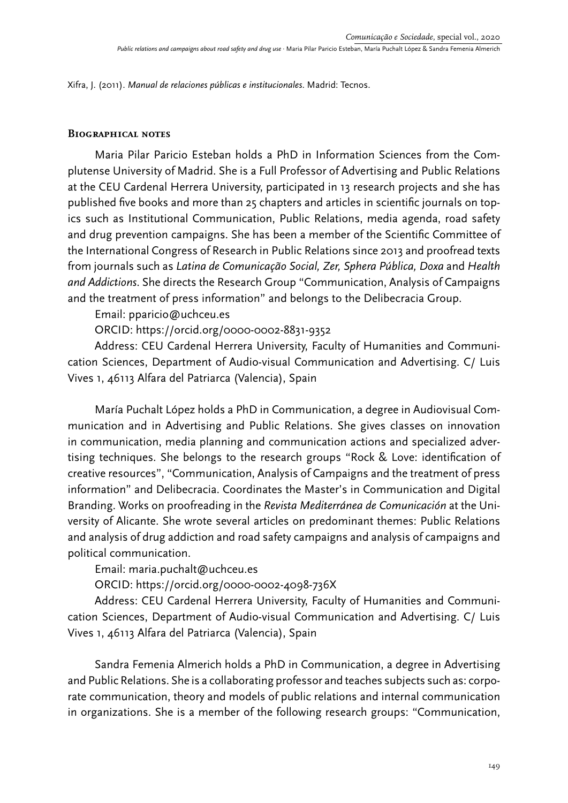Xifra, J. (2011). *Manual de relaciones públicas e institucionales*. Madrid: Tecnos.

### **Biographical notes**

Maria Pilar Paricio Esteban holds a PhD in Information Sciences from the Complutense University of Madrid. She is a Full Professor of Advertising and Public Relations at the CEU Cardenal Herrera University, participated in 13 research projects and she has published five books and more than 25 chapters and articles in scientific journals on topics such as Institutional Communication, Public Relations, media agenda, road safety and drug prevention campaigns. She has been a member of the Scientific Committee of the International Congress of Research in Public Relations since 2013 and proofread texts from journals such as *Latina de Comunicação Social, Zer, Sphera Pública, Doxa* and *Health and Addictions*. She directs the Research Group "Communication, Analysis of Campaigns and the treatment of press information" and belongs to the Delibecracia Group.

Email: pparicio@uchceu.es

ORCID: https://orcid.org/0000-0002-8831-9352

Address: CEU Cardenal Herrera University, Faculty of Humanities and Communication Sciences, Department of Audio-visual Communication and Advertising. C/ Luis Vives 1, 46113 Alfara del Patriarca (Valencia), Spain

María Puchalt López holds a PhD in Communication, a degree in Audiovisual Communication and in Advertising and Public Relations. She gives classes on innovation in communication, media planning and communication actions and specialized advertising techniques. She belongs to the research groups "Rock & Love: identification of creative resources", "Communication, Analysis of Campaigns and the treatment of press information" and Delibecracia. Coordinates the Master's in Communication and Digital Branding. Works on proofreading in the *Revista Mediterránea de Comunicación* at the University of Alicante. She wrote several articles on predominant themes: Public Relations and analysis of drug addiction and road safety campaigns and analysis of campaigns and political communication.

# Email: maria.puchalt@uchceu.es

# ORCID: https://orcid.org/0000-0002-4098-736X

Address: CEU Cardenal Herrera University, Faculty of Humanities and Communication Sciences, Department of Audio-visual Communication and Advertising. C/ Luis Vives 1, 46113 Alfara del Patriarca (Valencia), Spain

Sandra Femenia Almerich holds a PhD in Communication, a degree in Advertising and Public Relations. She is a collaborating professor and teaches subjects such as: corporate communication, theory and models of public relations and internal communication in organizations. She is a member of the following research groups: "Communication,